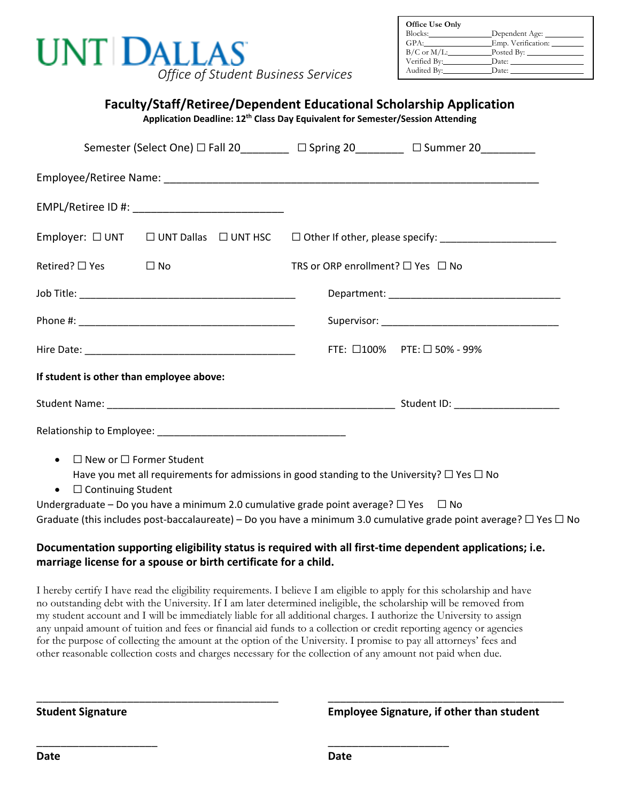| <b>UNT DALLAS</b>                   |
|-------------------------------------|
| Office of Student Business Services |

| Office Use Only  |                    |
|------------------|--------------------|
| Blocks:          | Dependent Age:     |
| GPA:             | Emp. Verification: |
| $B/C$ or $M/L$ : |                    |
| Verified By:     |                    |
| Audited By:      | Date:              |

| Semester (Select One) □ Fall 20________ □ Spring 20________ □ Summer 20_________                                                                                                                    |                                             |                             |
|-----------------------------------------------------------------------------------------------------------------------------------------------------------------------------------------------------|---------------------------------------------|-----------------------------|
|                                                                                                                                                                                                     |                                             |                             |
|                                                                                                                                                                                                     |                                             |                             |
| Employer: $\Box$ UNT $\Box$ UNT Dallas $\Box$ UNT HSC $\Box$ Other If other, please specify: _____________________                                                                                  |                                             |                             |
| Retired? $\square$ Yes<br>$\square$ No                                                                                                                                                              | TRS or ORP enrollment? $\Box$ Yes $\Box$ No |                             |
|                                                                                                                                                                                                     |                                             |                             |
|                                                                                                                                                                                                     |                                             |                             |
|                                                                                                                                                                                                     |                                             | FTE: □100% PTE: □ 50% - 99% |
| If student is other than employee above:                                                                                                                                                            |                                             |                             |
|                                                                                                                                                                                                     |                                             |                             |
|                                                                                                                                                                                                     |                                             |                             |
| $\Box$ New or $\Box$ Former Student<br>$\bullet$<br>Have you met all requirements for admissions in good standing to the University? $\Box$ Yes $\Box$ No<br>$\bullet$ $\square$ Continuing Student |                                             |                             |

Graduate (this includes post-baccalaureate) – Do you have a minimum 3.0 cumulative grade point average?  $\Box$  Yes  $\Box$  No

## **Documentation supporting eligibility status is required with all first-time dependent applications; i.e. marriage license for a spouse or birth certificate for a child.**

I hereby certify I have read the eligibility requirements. I believe I am eligible to apply for this scholarship and have no outstanding debt with the University. If I am later determined ineligible, the scholarship will be removed from my student account and I will be immediately liable for all additional charges. I authorize the University to assign any unpaid amount of tuition and fees or financial aid funds to a collection or credit reporting agency or agencies for the purpose of collecting the amount at the option of the University. I promise to pay all attorneys' fees and other reasonable collection costs and charges necessary for the collection of any amount not paid when due.

\_\_\_\_\_\_\_\_\_\_\_\_\_\_\_\_\_\_\_\_ \_\_\_\_\_\_\_\_\_\_\_\_\_\_\_\_\_\_\_\_

\_\_\_\_\_\_\_\_\_\_\_\_\_\_\_\_\_\_\_\_\_\_\_\_\_\_\_\_\_\_\_\_\_\_\_\_\_\_\_\_ \_\_\_\_\_\_\_\_\_\_\_\_\_\_\_\_\_\_\_\_\_\_\_\_\_\_\_\_\_\_\_\_\_\_\_\_\_\_\_

**Student Signature Employee Signature, if other than student**